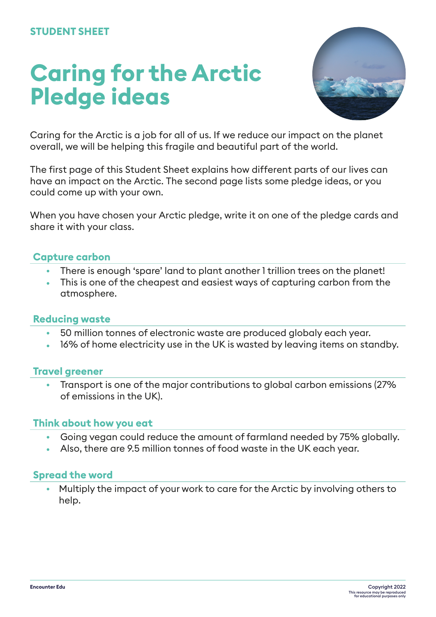# **Caring for the Arctic Pledge ideas**



Caring for the Arctic is a job for all of us. If we reduce our impact on the planet overall, we will be helping this fragile and beautiful part of the world.

The first page of this Student Sheet explains how different parts of our lives can have an impact on the Arctic. The second page lists some pledge ideas, or you could come up with your own.

When you have chosen your Arctic pledge, write it on one of the pledge cards and share it with your class.

# **Capture carbon**

- **•** There is enough 'spare' land to plant another 1 trillion trees on the planet!
- **•** This is one of the cheapest and easiest ways of capturing carbon from the atmosphere.

## **Reducing waste**

- **•** 50 million tonnes of electronic waste are produced globaly each year.
- **•** 16% of home electricity use in the UK is wasted by leaving items on standby.

## **Travel greener**

**•** Transport is one of the major contributions to global carbon emissions (27% of emissions in the UK).

## **Think about how you eat**

- **•** Going vegan could reduce the amount of farmland needed by 75% globally.
- **•** Also, there are 9.5 million tonnes of food waste in the UK each year.

## **Spread the word**

**•** Multiply the impact of your work to care for the Arctic by involving others to help.